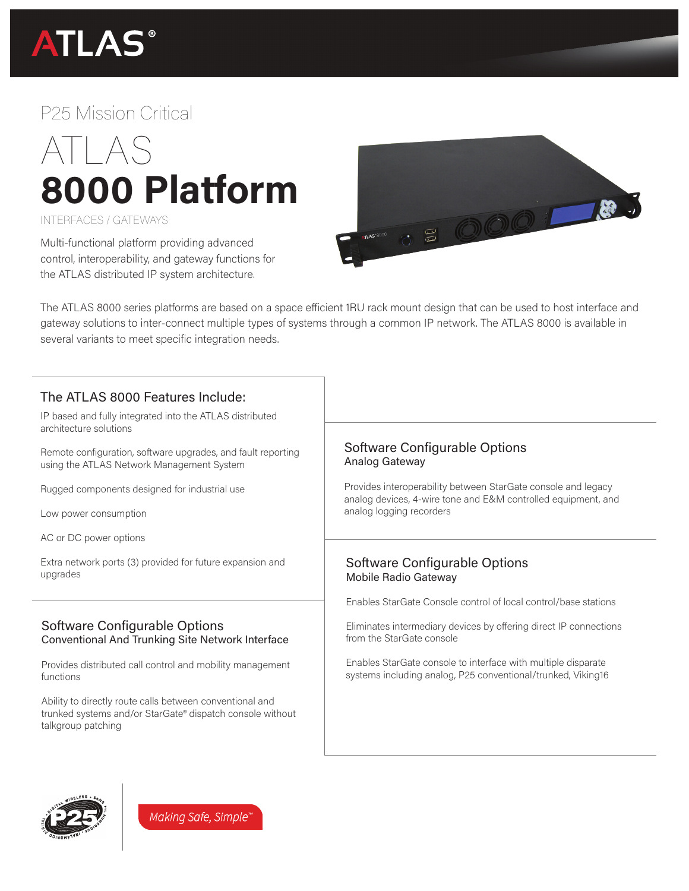

# P25 Mission Critical



#### INTERFACES / GATEWAYS

Multi-functional platform providing advanced control, interoperability, and gateway functions for the ATLAS distributed IP system architecture.



The ATLAS 8000 series platforms are based on a space efficient 1RU rack mount design that can be used to host interface and gateway solutions to inter-connect multiple types of systems through a common IP network. The ATLAS 8000 is available in several variants to meet specific integration needs.

# The ATLAS 8000 Features Include:

IP based and fully integrated into the ATLAS distributed architecture solutions

Remote configuration, software upgrades, and fault reporting using the ATLAS Network Management System

Rugged components designed for industrial use

Low power consumption

AC or DC power options

Extra network ports (3) provided for future expansion and upgrades

## Software Configurable Options Conventional And Trunking Site Network Interface

Provides distributed call control and mobility management functions

Ability to directly route calls between conventional and trunked systems and/or StarGate® dispatch console without talkgroup patching

### Software Configurable Options Analog Gateway

Provides interoperability between StarGate console and legacy analog devices, 4-wire tone and E&M controlled equipment, and analog logging recorders

### Software Configurable Options Mobile Radio Gateway

Enables StarGate Console control of local control/base stations

Eliminates intermediary devices by offering direct IP connections from the StarGate console

Enables StarGate console to interface with multiple disparate systems including analog, P25 conventional/trunked, Viking16